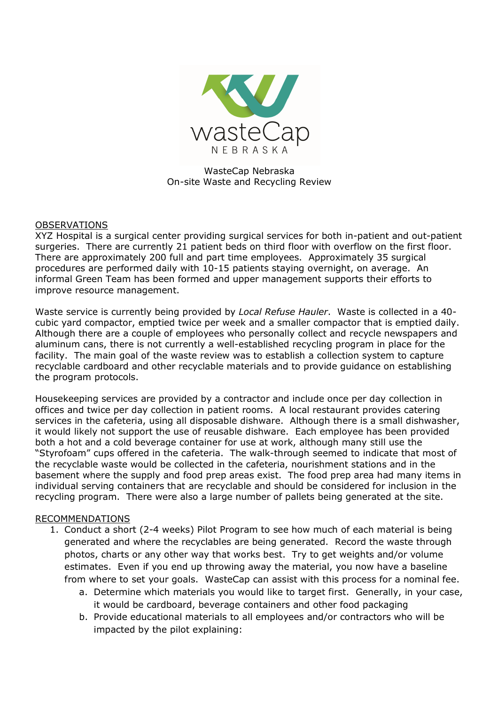

WasteCap Nebraska On-site Waste and Recycling Review

## OBSERVATIONS

XYZ Hospital is a surgical center providing surgical services for both in-patient and out-patient surgeries. There are currently 21 patient beds on third floor with overflow on the first floor. There are approximately 200 full and part time employees. Approximately 35 surgical procedures are performed daily with 10-15 patients staying overnight, on average. An informal Green Team has been formed and upper management supports their efforts to improve resource management.

Waste service is currently being provided by *Local Refuse Hauler*. Waste is collected in a 40 cubic yard compactor, emptied twice per week and a smaller compactor that is emptied daily. Although there are a couple of employees who personally collect and recycle newspapers and aluminum cans, there is not currently a well-established recycling program in place for the facility. The main goal of the waste review was to establish a collection system to capture recyclable cardboard and other recyclable materials and to provide guidance on establishing the program protocols.

Housekeeping services are provided by a contractor and include once per day collection in offices and twice per day collection in patient rooms. A local restaurant provides catering services in the cafeteria, using all disposable dishware. Although there is a small dishwasher, it would likely not support the use of reusable dishware. Each employee has been provided both a hot and a cold beverage container for use at work, although many still use the "Styrofoam" cups offered in the cafeteria. The walk-through seemed to indicate that most of the recyclable waste would be collected in the cafeteria, nourishment stations and in the basement where the supply and food prep areas exist. The food prep area had many items in individual serving containers that are recyclable and should be considered for inclusion in the recycling program. There were also a large number of pallets being generated at the site.

## RECOMMENDATIONS

- 1. Conduct a short (2-4 weeks) Pilot Program to see how much of each material is being generated and where the recyclables are being generated. Record the waste through photos, charts or any other way that works best. Try to get weights and/or volume estimates. Even if you end up throwing away the material, you now have a baseline from where to set your goals. WasteCap can assist with this process for a nominal fee.
	- a. Determine which materials you would like to target first. Generally, in your case, it would be cardboard, beverage containers and other food packaging
	- b. Provide educational materials to all employees and/or contractors who will be impacted by the pilot explaining: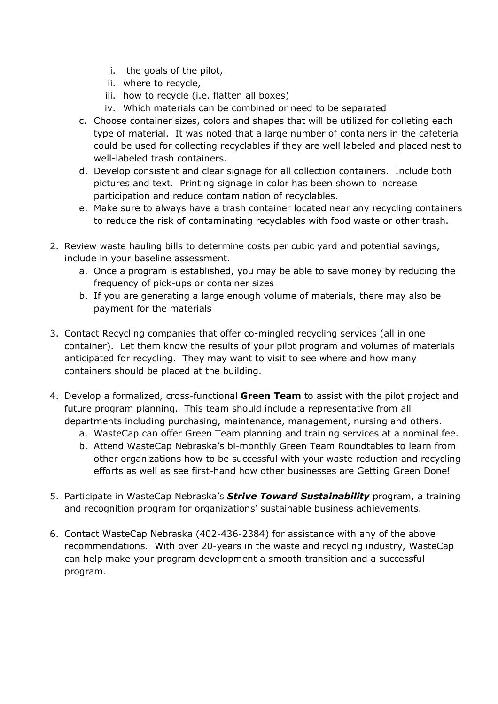- i. the goals of the pilot,
- ii. where to recycle,
- iii. how to recycle (i.e. flatten all boxes)
- iv. Which materials can be combined or need to be separated
- c. Choose container sizes, colors and shapes that will be utilized for colleting each type of material. It was noted that a large number of containers in the cafeteria could be used for collecting recyclables if they are well labeled and placed nest to well-labeled trash containers.
- d. Develop consistent and clear signage for all collection containers. Include both pictures and text. Printing signage in color has been shown to increase participation and reduce contamination of recyclables.
- e. Make sure to always have a trash container located near any recycling containers to reduce the risk of contaminating recyclables with food waste or other trash.
- 2. Review waste hauling bills to determine costs per cubic yard and potential savings, include in your baseline assessment.
	- a. Once a program is established, you may be able to save money by reducing the frequency of pick-ups or container sizes
	- b. If you are generating a large enough volume of materials, there may also be payment for the materials
- 3. Contact Recycling companies that offer co-mingled recycling services (all in one container). Let them know the results of your pilot program and volumes of materials anticipated for recycling. They may want to visit to see where and how many containers should be placed at the building.
- 4. Develop a formalized, cross-functional **Green Team** to assist with the pilot project and future program planning. This team should include a representative from all departments including purchasing, maintenance, management, nursing and others.
	- a. WasteCap can offer Green Team planning and training services at a nominal fee.
	- b. Attend WasteCap Nebraska's bi-monthly Green Team Roundtables to learn from other organizations how to be successful with your waste reduction and recycling efforts as well as see first-hand how other businesses are Getting Green Done!
- 5. Participate in WasteCap Nebraska's *Strive Toward Sustainability* program, a training and recognition program for organizations' sustainable business achievements.
- 6. Contact WasteCap Nebraska (402-436-2384) for assistance with any of the above recommendations. With over 20-years in the waste and recycling industry, WasteCap can help make your program development a smooth transition and a successful program.